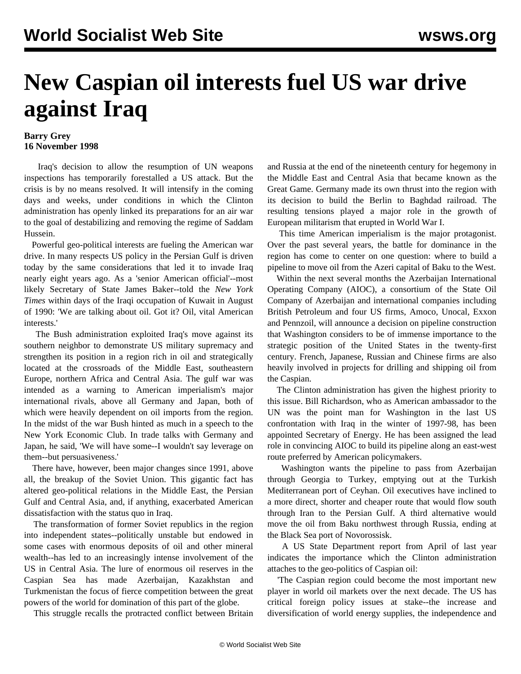## **New Caspian oil interests fuel US war drive against Iraq**

## **Barry Grey 16 November 1998**

 Iraq's decision to allow the resumption of UN weapons inspections has temporarily forestalled a US attack. But the crisis is by no means resolved. It will intensify in the coming days and weeks, under conditions in which the Clinton administration has openly linked its preparations for an air war to the goal of destabilizing and removing the regime of Saddam Hussein.

 Powerful geo-political interests are fueling the American war drive. In many respects US policy in the Persian Gulf is driven today by the same considerations that led it to invade Iraq nearly eight years ago. As a 'senior American official'--most likely Secretary of State James Baker--told the *New York Times* within days of the Iraqi occupation of Kuwait in August of 1990: 'We are talking about oil. Got it? Oil, vital American interests.'

 The Bush administration exploited Iraq's move against its southern neighbor to demonstrate US military supremacy and strengthen its position in a region rich in oil and strategically located at the crossroads of the Middle East, southeastern Europe, northern Africa and Central Asia. The gulf war was intended as a warning to American imperialism's major international rivals, above all Germany and Japan, both of which were heavily dependent on oil imports from the region. In the midst of the war Bush hinted as much in a speech to the New York Economic Club. In trade talks with Germany and Japan, he said, 'We will have some--I wouldn't say leverage on them--but persuasiveness.'

 There have, however, been major changes since 1991, above all, the breakup of the Soviet Union. This gigantic fact has altered geo-political relations in the Middle East, the Persian Gulf and Central Asia, and, if anything, exacerbated American dissatisfaction with the status quo in Iraq.

 The transformation of former Soviet republics in the region into independent states--politically unstable but endowed in some cases with enormous deposits of oil and other mineral wealth--has led to an increasingly intense involvement of the US in Central Asia. The lure of enormous oil reserves in the Caspian Sea has made Azerbaijan, Kazakhstan and Turkmenistan the focus of fierce competition between the great powers of the world for domination of this part of the globe.

This struggle recalls the protracted conflict between Britain

and Russia at the end of the nineteenth century for hegemony in the Middle East and Central Asia that became known as the Great Game. Germany made its own thrust into the region with its decision to build the Berlin to Baghdad railroad. The resulting tensions played a major role in the growth of European militarism that erupted in World War I.

 This time American imperialism is the major protagonist. Over the past several years, the battle for dominance in the region has come to center on one question: where to build a pipeline to move oil from the Azeri capital of Baku to the West.

 Within the next several months the Azerbaijan International Operating Company (AIOC), a consortium of the State Oil Company of Azerbaijan and international companies including British Petroleum and four US firms, Amoco, Unocal, Exxon and Pennzoil, will announce a decision on pipeline construction that Washington considers to be of immense importance to the strategic position of the United States in the twenty-first century. French, Japanese, Russian and Chinese firms are also heavily involved in projects for drilling and shipping oil from the Caspian.

 The Clinton administration has given the highest priority to this issue. Bill Richardson, who as American ambassador to the UN was the point man for Washington in the last US confrontation with Iraq in the winter of 1997-98, has been appointed Secretary of Energy. He has been assigned the lead role in convincing AIOC to build its pipeline along an east-west route preferred by American policymakers.

 Washington wants the pipeline to pass from Azerbaijan through Georgia to Turkey, emptying out at the Turkish Mediterranean port of Ceyhan. Oil executives have inclined to a more direct, shorter and cheaper route that would flow south through Iran to the Persian Gulf. A third alternative would move the oil from Baku northwest through Russia, ending at the Black Sea port of Novorossisk.

 A US State Department report from April of last year indicates the importance which the Clinton administration attaches to the geo-politics of Caspian oil:

 'The Caspian region could become the most important new player in world oil markets over the next decade. The US has critical foreign policy issues at stake--the increase and diversification of world energy supplies, the independence and